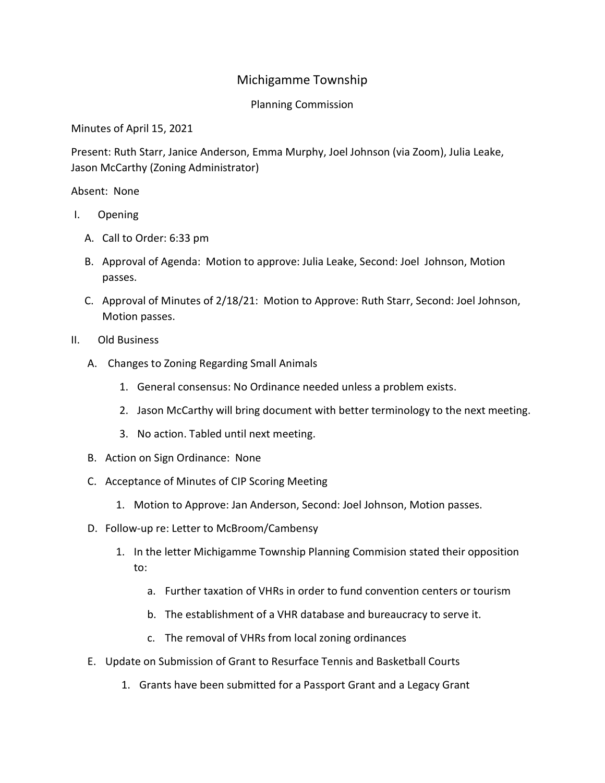## Michigamme Township

## Planning Commission

Minutes of April 15, 2021

Present: Ruth Starr, Janice Anderson, Emma Murphy, Joel Johnson (via Zoom), Julia Leake, Jason McCarthy (Zoning Administrator)

Absent: None

- I. Opening
	- A. Call to Order: 6:33 pm
	- B. Approval of Agenda: Motion to approve: Julia Leake, Second: Joel Johnson, Motion passes.
	- C. Approval of Minutes of 2/18/21: Motion to Approve: Ruth Starr, Second: Joel Johnson, Motion passes.
- II. Old Business
	- A. Changes to Zoning Regarding Small Animals
		- 1. General consensus: No Ordinance needed unless a problem exists.
		- 2. Jason McCarthy will bring document with better terminology to the next meeting.
		- 3. No action. Tabled until next meeting.
	- B. Action on Sign Ordinance: None
	- C. Acceptance of Minutes of CIP Scoring Meeting
		- 1. Motion to Approve: Jan Anderson, Second: Joel Johnson, Motion passes.
	- D. Follow-up re: Letter to McBroom/Cambensy
		- 1. In the letter Michigamme Township Planning Commision stated their opposition to:
			- a. Further taxation of VHRs in order to fund convention centers or tourism
			- b. The establishment of a VHR database and bureaucracy to serve it.
			- c. The removal of VHRs from local zoning ordinances
	- E. Update on Submission of Grant to Resurface Tennis and Basketball Courts
		- 1. Grants have been submitted for a Passport Grant and a Legacy Grant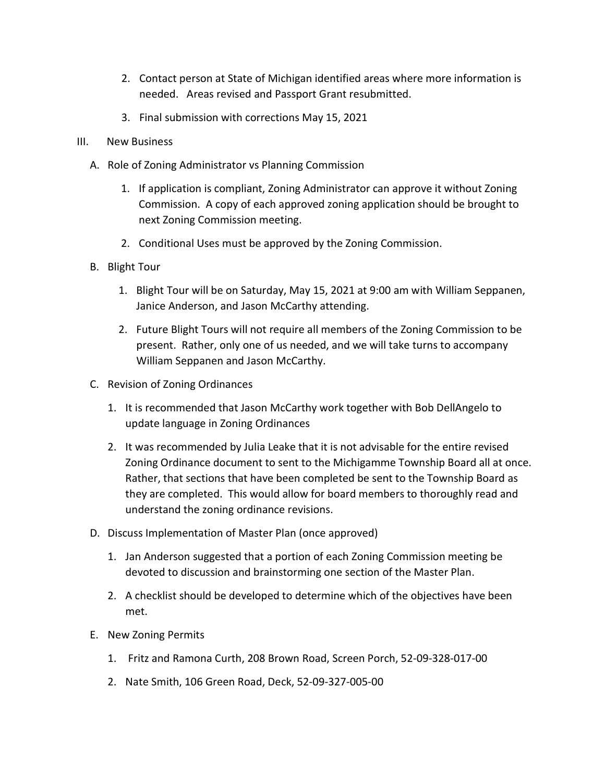- 2. Contact person at State of Michigan identified areas where more information is needed. Areas revised and Passport Grant resubmitted.
- 3. Final submission with corrections May 15, 2021
- III. New Business
	- A. Role of Zoning Administrator vs Planning Commission
		- 1. If application is compliant, Zoning Administrator can approve it without Zoning Commission. A copy of each approved zoning application should be brought to next Zoning Commission meeting.
		- 2. Conditional Uses must be approved by the Zoning Commission.
	- B. Blight Tour
		- 1. Blight Tour will be on Saturday, May 15, 2021 at 9:00 am with William Seppanen, Janice Anderson, and Jason McCarthy attending.
		- 2. Future Blight Tours will not require all members of the Zoning Commission to be present. Rather, only one of us needed, and we will take turns to accompany William Seppanen and Jason McCarthy.
	- C. Revision of Zoning Ordinances
		- 1. It is recommended that Jason McCarthy work together with Bob DellAngelo to update language in Zoning Ordinances
		- 2. It was recommended by Julia Leake that it is not advisable for the entire revised Zoning Ordinance document to sent to the Michigamme Township Board all at once. Rather, that sections that have been completed be sent to the Township Board as they are completed. This would allow for board members to thoroughly read and understand the zoning ordinance revisions.
	- D. Discuss Implementation of Master Plan (once approved)
		- 1. Jan Anderson suggested that a portion of each Zoning Commission meeting be devoted to discussion and brainstorming one section of the Master Plan.
		- 2. A checklist should be developed to determine which of the objectives have been met.
	- E. New Zoning Permits
		- 1. Fritz and Ramona Curth, 208 Brown Road, Screen Porch, 52-09-328-017-00
		- 2. Nate Smith, 106 Green Road, Deck, 52-09-327-005-00